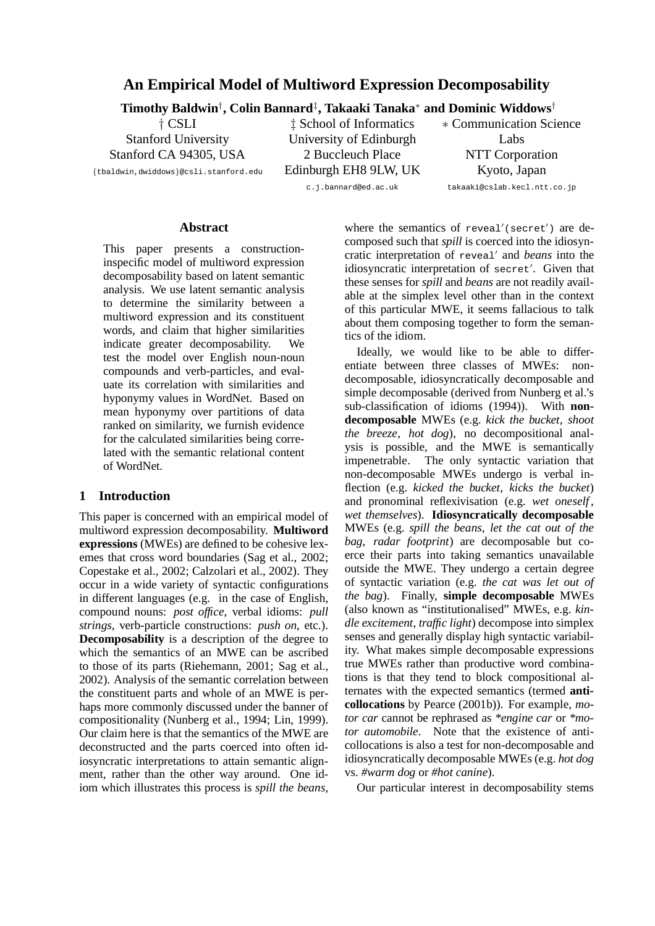# **An Empirical Model of Multiword Expression Decomposability**

**Timothy Baldwin**† **, Colin Bannard**‡ **, Takaaki Tanaka**<sup>∗</sup> **and Dominic Widdows**†

† CSLI Stanford University Stanford CA 94305, USA

{tbaldwin,dwiddows}@csli.stanford.edu

‡ School of Informatics University of Edinburgh 2 Buccleuch Place Edinburgh EH8 9LW, UK

∗ Communication Science Labs NTT Corporation Kyoto, Japan

c.j.bannard@ed.ac.uk

takaaki@cslab.kecl.ntt.co.jp

# **Abstract**

This paper presents a constructioninspecific model of multiword expression decomposability based on latent semantic analysis. We use latent semantic analysis to determine the similarity between a multiword expression and its constituent words, and claim that higher similarities indicate greater decomposability. We test the model over English noun-noun compounds and verb-particles, and evaluate its correlation with similarities and hyponymy values in WordNet. Based on mean hyponymy over partitions of data ranked on similarity, we furnish evidence for the calculated similarities being correlated with the semantic relational content of WordNet.

#### **1 Introduction**

This paper is concerned with an empirical model of multiword expression decomposability. **Multiword expressions** (MWEs) are defined to be cohesive lexemes that cross word boundaries (Sag et al., 2002; Copestake et al., 2002; Calzolari et al., 2002). They occur in a wide variety of syntactic configurations in different languages (e.g. in the case of English, compound nouns: *post office*, verbal idioms: *pull strings*, verb-particle constructions: *push on*, etc.). **Decomposability** is a description of the degree to which the semantics of an MWE can be ascribed to those of its parts (Riehemann, 2001; Sag et al., 2002). Analysis of the semantic correlation between the constituent parts and whole of an MWE is perhaps more commonly discussed under the banner of compositionality (Nunberg et al., 1994; Lin, 1999). Our claim here is that the semantics of the MWE are deconstructed and the parts coerced into often idiosyncratic interpretations to attain semantic alignment, rather than the other way around. One idiom which illustrates this process is *spill the beans*,

where the semantics of reveal'(secret') are decomposed such that *spill* is coerced into the idiosyncratic interpretation of reveal' and *beans* into the idiosyncratic interpretation of secret'. Given that these senses for *spill* and *beans* are not readily available at the simplex level other than in the context of this particular MWE, it seems fallacious to talk about them composing together to form the semantics of the idiom.

Ideally, we would like to be able to differentiate between three classes of MWEs: nondecomposable, idiosyncratically decomposable and simple decomposable (derived from Nunberg et al.'s sub-classification of idioms (1994)). With **nondecomposable** MWEs (e.g. *kick the bucket*, *shoot the breeze*, *hot dog*), no decompositional analysis is possible, and the MWE is semantically impenetrable. The only syntactic variation that non-decomposable MWEs undergo is verbal inflection (e.g. *kicked the bucket*, *kicks the bucket*) and pronominal reflexivisation (e.g. *wet oneself* , *wet themselves*). **Idiosyncratically decomposable** MWEs (e.g. *spill the beans*, *let the cat out of the bag*, *radar footprint*) are decomposable but coerce their parts into taking semantics unavailable outside the MWE. They undergo a certain degree of syntactic variation (e.g. *the cat was let out of the bag*). Finally, **simple decomposable** MWEs (also known as "institutionalised" MWEs, e.g. *kindle excitement*, *traffic light*) decompose into simplex senses and generally display high syntactic variability. What makes simple decomposable expressions true MWEs rather than productive word combinations is that they tend to block compositional alternates with the expected semantics (termed **anticollocations** by Pearce (2001b)). For example, *motor car* cannot be rephrased as *\*engine car* or *\*motor automobile*. Note that the existence of anticollocations is also a test for non-decomposable and idiosyncratically decomposable MWEs (e.g. *hot dog* vs. *#warm dog* or *#hot canine*).

Our particular interest in decomposability stems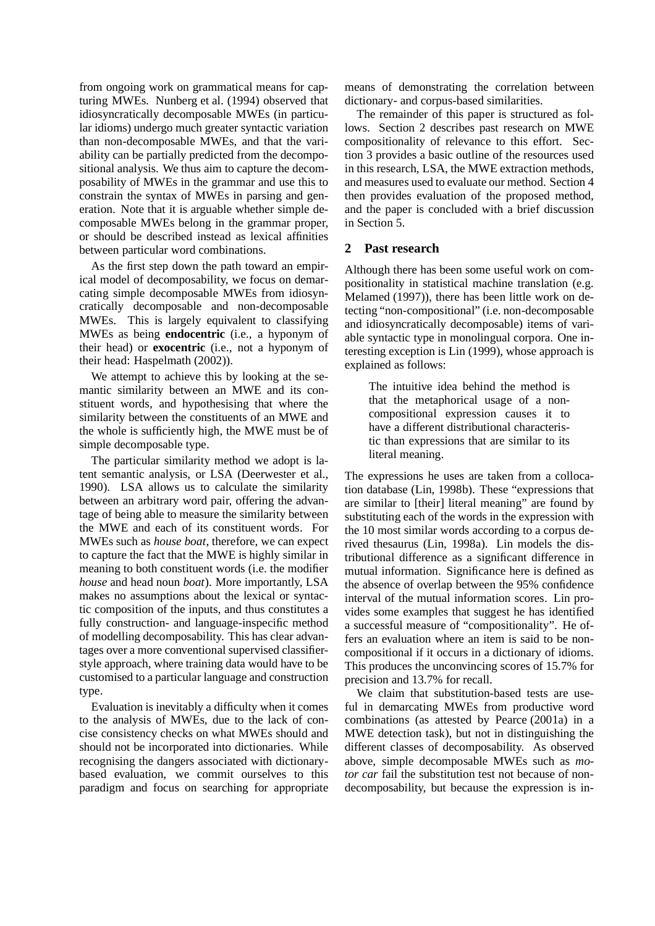from ongoing work on grammatical means for capturing MWEs. Nunberg et al. (1994) observed that idiosyncratically decomposable MWEs (in particular idioms) undergo much greater syntactic variation than non-decomposable MWEs, and that the variability can be partially predicted from the decompositional analysis. We thus aim to capture the decomposability of MWEs in the grammar and use this to constrain the syntax of MWEs in parsing and generation. Note that it is arguable whether simple decomposable MWEs belong in the grammar proper, or should be described instead as lexical affinities between particular word combinations.

As the first step down the path toward an empirical model of decomposability, we focus on demarcating simple decomposable MWEs from idiosyncratically decomposable and non-decomposable MWEs. This is largely equivalent to classifying MWEs as being **endocentric** (i.e., a hyponym of their head) or **exocentric** (i.e., not a hyponym of their head: Haspelmath (2002)).

We attempt to achieve this by looking at the semantic similarity between an MWE and its constituent words, and hypothesising that where the similarity between the constituents of an MWE and the whole is sufficiently high, the MWE must be of simple decomposable type.

The particular similarity method we adopt is latent semantic analysis, or LSA (Deerwester et al., 1990). LSA allows us to calculate the similarity between an arbitrary word pair, offering the advantage of being able to measure the similarity between the MWE and each of its constituent words. For MWEs such as *house boat*, therefore, we can expect to capture the fact that the MWE is highly similar in meaning to both constituent words (i.e. the modifier *house* and head noun *boat*). More importantly, LSA makes no assumptions about the lexical or syntactic composition of the inputs, and thus constitutes a fully construction- and language-inspecific method of modelling decomposability. This has clear advantages over a more conventional supervised classifierstyle approach, where training data would have to be customised to a particular language and construction type.

Evaluation is inevitably a difficulty when it comes to the analysis of MWEs, due to the lack of concise consistency checks on what MWEs should and should not be incorporated into dictionaries. While recognising the dangers associated with dictionarybased evaluation, we commit ourselves to this paradigm and focus on searching for appropriate means of demonstrating the correlation between dictionary- and corpus-based similarities.

The remainder of this paper is structured as follows. Section 2 describes past research on MWE compositionality of relevance to this effort. Section 3 provides a basic outline of the resources used in this research, LSA, the MWE extraction methods, and measures used to evaluate our method. Section 4 then provides evaluation of the proposed method, and the paper is concluded with a brief discussion in Section 5.

# **2 Past research**

Although there has been some useful work on compositionality in statistical machine translation (e.g. Melamed (1997)), there has been little work on detecting "non-compositional" (i.e. non-decomposable and idiosyncratically decomposable) items of variable syntactic type in monolingual corpora. One interesting exception is Lin (1999), whose approach is explained as follows:

The intuitive idea behind the method is that the metaphorical usage of a noncompositional expression causes it to have a different distributional characteristic than expressions that are similar to its literal meaning.

The expressions he uses are taken from a collocation database (Lin, 1998b). These "expressions that are similar to [their] literal meaning" are found by substituting each of the words in the expression with the 10 most similar words according to a corpus derived thesaurus (Lin, 1998a). Lin models the distributional difference as a significant difference in mutual information. Significance here is defined as the absence of overlap between the 95% confidence interval of the mutual information scores. Lin provides some examples that suggest he has identified a successful measure of "compositionality". He offers an evaluation where an item is said to be noncompositional if it occurs in a dictionary of idioms. This produces the unconvincing scores of 15.7% for precision and 13.7% for recall.

We claim that substitution-based tests are useful in demarcating MWEs from productive word combinations (as attested by Pearce (2001a) in a MWE detection task), but not in distinguishing the different classes of decomposability. As observed above, simple decomposable MWEs such as *motor car* fail the substitution test not because of nondecomposability, but because the expression is in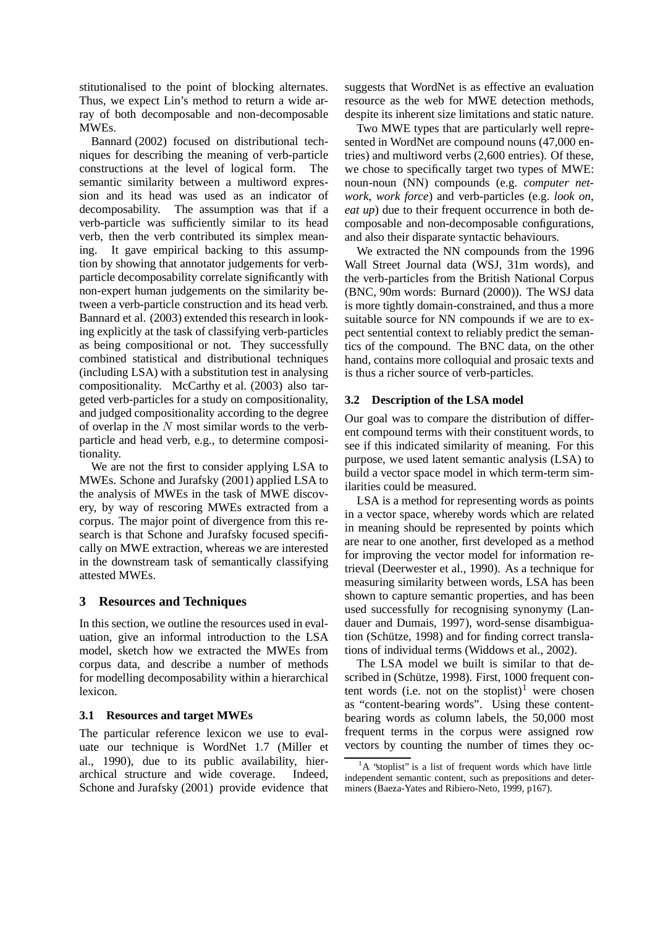stitutionalised to the point of blocking alternates. Thus, we expect Lin's method to return a wide array of both decomposable and non-decomposable MWEs.

Bannard (2002) focused on distributional techniques for describing the meaning of verb-particle constructions at the level of logical form. The semantic similarity between a multiword expression and its head was used as an indicator of decomposability. The assumption was that if a verb-particle was sufficiently similar to its head verb, then the verb contributed its simplex meaning. It gave empirical backing to this assumption by showing that annotator judgements for verbparticle decomposability correlate significantly with non-expert human judgements on the similarity between a verb-particle construction and its head verb. Bannard et al. (2003) extended this research in looking explicitly at the task of classifying verb-particles as being compositional or not. They successfully combined statistical and distributional techniques (including LSA) with a substitution test in analysing compositionality. McCarthy et al. (2003) also targeted verb-particles for a study on compositionality, and judged compositionality according to the degree of overlap in the  $N$  most similar words to the verbparticle and head verb, e.g., to determine compositionality.

We are not the first to consider applying LSA to MWEs. Schone and Jurafsky (2001) applied LSA to the analysis of MWEs in the task of MWE discovery, by way of rescoring MWEs extracted from a corpus. The major point of divergence from this research is that Schone and Jurafsky focused specifically on MWE extraction, whereas we are interested in the downstream task of semantically classifying attested MWEs.

# **3 Resources and Techniques**

In this section, we outline the resources used in evaluation, give an informal introduction to the LSA model, sketch how we extracted the MWEs from corpus data, and describe a number of methods for modelling decomposability within a hierarchical lexicon.

## **3.1 Resources and target MWEs**

The particular reference lexicon we use to evaluate our technique is WordNet 1.7 (Miller et al., 1990), due to its public availability, hierarchical structure and wide coverage. Indeed, Schone and Jurafsky (2001) provide evidence that suggests that WordNet is as effective an evaluation resource as the web for MWE detection methods, despite its inherent size limitations and static nature.

Two MWE types that are particularly well represented in WordNet are compound nouns (47,000 entries) and multiword verbs (2,600 entries). Of these, we chose to specifically target two types of MWE: noun-noun (NN) compounds (e.g. *computer network*, *work force*) and verb-particles (e.g. *look on*, *eat up*) due to their frequent occurrence in both decomposable and non-decomposable configurations, and also their disparate syntactic behaviours.

We extracted the NN compounds from the 1996 Wall Street Journal data (WSJ, 31m words), and the verb-particles from the British National Corpus (BNC, 90m words: Burnard (2000)). The WSJ data is more tightly domain-constrained, and thus a more suitable source for NN compounds if we are to expect sentential context to reliably predict the semantics of the compound. The BNC data, on the other hand, contains more colloquial and prosaic texts and is thus a richer source of verb-particles.

# **3.2 Description of the LSA model**

Our goal was to compare the distribution of different compound terms with their constituent words, to see if this indicated similarity of meaning. For this purpose, we used latent semantic analysis (LSA) to build a vector space model in which term-term similarities could be measured.

LSA is a method for representing words as points in a vector space, whereby words which are related in meaning should be represented by points which are near to one another, first developed as a method for improving the vector model for information retrieval (Deerwester et al., 1990). As a technique for measuring similarity between words, LSA has been shown to capture semantic properties, and has been used successfully for recognising synonymy (Landauer and Dumais, 1997), word-sense disambiguation (Schütze, 1998) and for finding correct translations of individual terms (Widdows et al., 2002).

The LSA model we built is similar to that described in (Schütze, 1998). First, 1000 frequent content words (i.e. not on the stoplist)<sup>1</sup> were chosen as "content-bearing words". Using these contentbearing words as column labels, the 50,000 most frequent terms in the corpus were assigned row vectors by counting the number of times they oc-

 ${}^{1}$ A "stoplist" is a list of frequent words which have little independent semantic content, such as prepositions and determiners (Baeza-Yates and Ribiero-Neto, 1999, p167).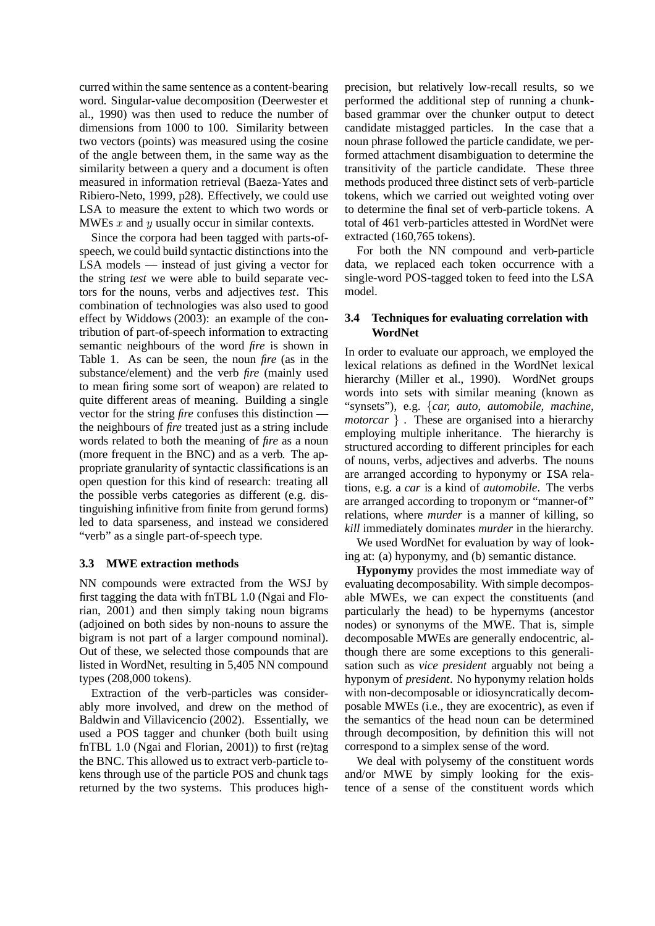curred within the same sentence as a content-bearing word. Singular-value decomposition (Deerwester et al., 1990) was then used to reduce the number of dimensions from 1000 to 100. Similarity between two vectors (points) was measured using the cosine of the angle between them, in the same way as the similarity between a query and a document is often measured in information retrieval (Baeza-Yates and Ribiero-Neto, 1999, p28). Effectively, we could use LSA to measure the extent to which two words or MWEs  $x$  and  $y$  usually occur in similar contexts.

Since the corpora had been tagged with parts-ofspeech, we could build syntactic distinctions into the LSA models — instead of just giving a vector for the string *test* we were able to build separate vectors for the nouns, verbs and adjectives *test*. This combination of technologies was also used to good effect by Widdows (2003): an example of the contribution of part-of-speech information to extracting semantic neighbours of the word *fire* is shown in Table 1. As can be seen, the noun *fire* (as in the substance/element) and the verb *fire* (mainly used to mean firing some sort of weapon) are related to quite different areas of meaning. Building a single vector for the string *fire* confuses this distinction the neighbours of *fire* treated just as a string include words related to both the meaning of *fire* as a noun (more frequent in the BNC) and as a verb. The appropriate granularity of syntactic classifications is an open question for this kind of research: treating all the possible verbs categories as different (e.g. distinguishing infinitive from finite from gerund forms) led to data sparseness, and instead we considered "verb" as a single part-of-speech type.

## **3.3 MWE extraction methods**

NN compounds were extracted from the WSJ by first tagging the data with fnTBL 1.0 (Ngai and Florian, 2001) and then simply taking noun bigrams (adjoined on both sides by non-nouns to assure the bigram is not part of a larger compound nominal). Out of these, we selected those compounds that are listed in WordNet, resulting in 5,405 NN compound types (208,000 tokens).

Extraction of the verb-particles was considerably more involved, and drew on the method of Baldwin and Villavicencio (2002). Essentially, we used a POS tagger and chunker (both built using fnTBL 1.0 (Ngai and Florian, 2001)) to first (re)tag the BNC. This allowed us to extract verb-particle tokens through use of the particle POS and chunk tags returned by the two systems. This produces highprecision, but relatively low-recall results, so we performed the additional step of running a chunkbased grammar over the chunker output to detect candidate mistagged particles. In the case that a noun phrase followed the particle candidate, we performed attachment disambiguation to determine the transitivity of the particle candidate. These three methods produced three distinct sets of verb-particle tokens, which we carried out weighted voting over to determine the final set of verb-particle tokens. A total of 461 verb-particles attested in WordNet were extracted (160,765 tokens).

For both the NN compound and verb-particle data, we replaced each token occurrence with a single-word POS-tagged token to feed into the LSA model.

# **3.4 Techniques for evaluating correlation with WordNet**

In order to evaluate our approach, we employed the lexical relations as defined in the WordNet lexical hierarchy (Miller et al., 1990). WordNet groups words into sets with similar meaning (known as "synsets"), e.g. {*car, auto, automobile, machine, motorcar* } . These are organised into a hierarchy employing multiple inheritance. The hierarchy is structured according to different principles for each of nouns, verbs, adjectives and adverbs. The nouns are arranged according to hyponymy or ISA relations, e.g. a *car* is a kind of *automobile*. The verbs are arranged according to troponym or "manner-of" relations, where *murder* is a manner of killing, so *kill* immediately dominates *murder* in the hierarchy.

We used WordNet for evaluation by way of looking at: (a) hyponymy, and (b) semantic distance.

**Hyponymy** provides the most immediate way of evaluating decomposability. With simple decomposable MWEs, we can expect the constituents (and particularly the head) to be hypernyms (ancestor nodes) or synonyms of the MWE. That is, simple decomposable MWEs are generally endocentric, although there are some exceptions to this generalisation such as *vice president* arguably not being a hyponym of *president*. No hyponymy relation holds with non-decomposable or idiosyncratically decomposable MWEs (i.e., they are exocentric), as even if the semantics of the head noun can be determined through decomposition, by definition this will not correspond to a simplex sense of the word.

We deal with polysemy of the constituent words and/or MWE by simply looking for the existence of a sense of the constituent words which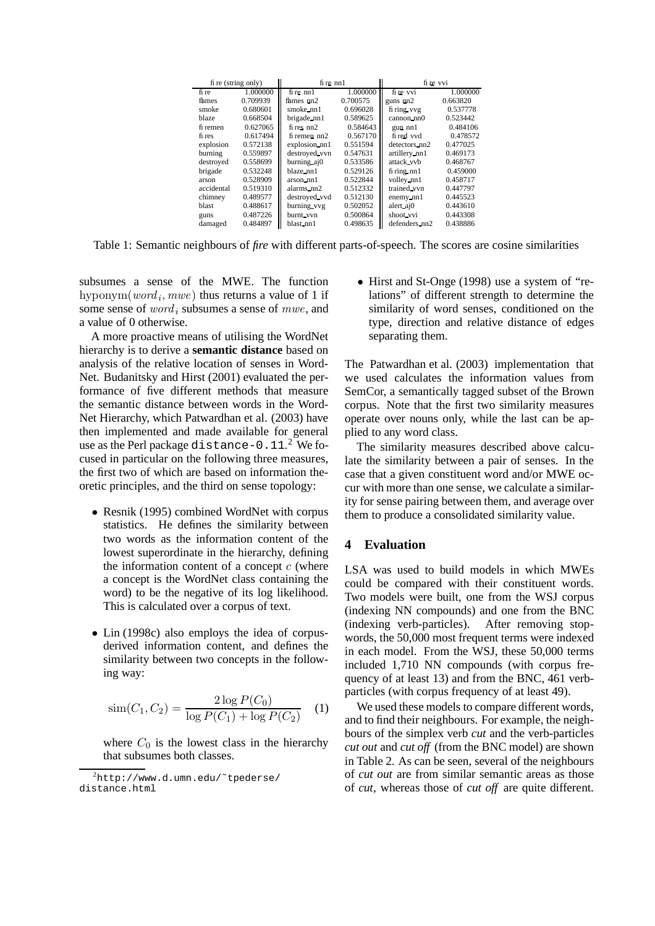| fi re (string only) |          | $f$ i re $n$ n $1$         |          | fire vvi         |          |
|---------------------|----------|----------------------------|----------|------------------|----------|
| fi re               | 1.000000 | $f$ i re $n$ n $1$         | 1.000000 | fi re vvi        | 1.000000 |
| fhmes               | 0.709939 | ${\rm f hmes}$ ${\rm nn2}$ | 0.700575 | guns nn2         | 0.663820 |
| smoke               | 0.680601 | $smoke\_nn1$               | 0.696028 | fi ring vvg      | 0.537778 |
| blaze               | 0.668504 | brigade nn1                | 0.589625 | cannon nn0       | 0.523442 |
| fi remen            | 0.627065 | $f$ res $nn2$              | 0.584643 | gun nnl          | 0.484106 |
| fi res              | 0.617494 | $f$ remen $nn2$            | 0.567170 | fi red vvd       | 0.478572 |
| explosion           | 0.572138 | explosion nn1              | 0.551594 | detectors nn2    | 0.477025 |
| burning             | 0.559897 | destroyed vvn              | 0.547631 | artillery nn1    | 0.469173 |
| destroyed           | 0.558699 | burning aj0                | 0.533586 | attack_vvb       | 0.468767 |
| brigade             | 0.532248 | blaze_nn1                  | 0.529126 | $fi$ ring nn $1$ | 0.459000 |
| arson               | 0.528909 | arson nn1                  | 0.522844 | volley nn1       | 0.458717 |
| accidental          | 0.519310 | alarms_nn2                 | 0.512332 | trained_vvn      | 0.447797 |
| chimney             | 0.489577 | destroyed vvd              | 0.512130 | enemy nn1        | 0.445523 |
| blast               | 0.488617 | burning vvg                | 0.502052 | alert aj0        | 0.443610 |
| guns                | 0.487226 | burnt vvn                  | 0.500864 | shoot vvi        | 0.443308 |
| damaged             | 0.484897 | blast_nn1                  | 0.498635 | defenders_nn2    | 0.438886 |

Table 1: Semantic neighbours of *fire* with different parts-of-speech. The scores are cosine similarities

subsumes a sense of the MWE. The function hyponym $(word_i, mwe)$  thus returns a value of 1 if some sense of  $word_i$  subsumes a sense of  $mwe$ , and a value of 0 otherwise.

A more proactive means of utilising the WordNet hierarchy is to derive a **semantic distance** based on analysis of the relative location of senses in Word-Net. Budanitsky and Hirst (2001) evaluated the performance of five different methods that measure the semantic distance between words in the Word-Net Hierarchy, which Patwardhan et al. (2003) have then implemented and made available for general use as the Perl package distance-0.11.<sup>2</sup> We focused in particular on the following three measures, the first two of which are based on information theoretic principles, and the third on sense topology:

- Resnik (1995) combined WordNet with corpus statistics. He defines the similarity between two words as the information content of the lowest superordinate in the hierarchy, defining the information content of a concept  $c$  (where a concept is the WordNet class containing the word) to be the negative of its log likelihood. This is calculated over a corpus of text.
- Lin (1998c) also employs the idea of corpusderived information content, and defines the similarity between two concepts in the following way:

$$
\text{sim}(C_1, C_2) = \frac{2 \log P(C_0)}{\log P(C_1) + \log P(C_2)} \quad (1)
$$

where  $C_0$  is the lowest class in the hierarchy that subsumes both classes.

• Hirst and St-Onge (1998) use a system of "relations" of different strength to determine the similarity of word senses, conditioned on the type, direction and relative distance of edges separating them.

The Patwardhan et al. (2003) implementation that we used calculates the information values from SemCor, a semantically tagged subset of the Brown corpus. Note that the first two similarity measures operate over nouns only, while the last can be applied to any word class.

The similarity measures described above calculate the similarity between a pair of senses. In the case that a given constituent word and/or MWE occur with more than one sense, we calculate a similarity for sense pairing between them, and average over them to produce a consolidated similarity value.

## **4 Evaluation**

LSA was used to build models in which MWEs could be compared with their constituent words. Two models were built, one from the WSJ corpus (indexing NN compounds) and one from the BNC (indexing verb-particles). After removing stopwords, the 50,000 most frequent terms were indexed in each model. From the WSJ, these 50,000 terms included 1,710 NN compounds (with corpus frequency of at least 13) and from the BNC, 461 verbparticles (with corpus frequency of at least 49).

We used these models to compare different words, and to find their neighbours. For example, the neighbours of the simplex verb *cut* and the verb-particles *cut out* and *cut off* (from the BNC model) are shown in Table 2. As can be seen, several of the neighbours of *cut out* are from similar semantic areas as those of *cut*, whereas those of *cut off* are quite different.

 $^{2}$ http://www.d.umn.edu/~tpederse/ distance.html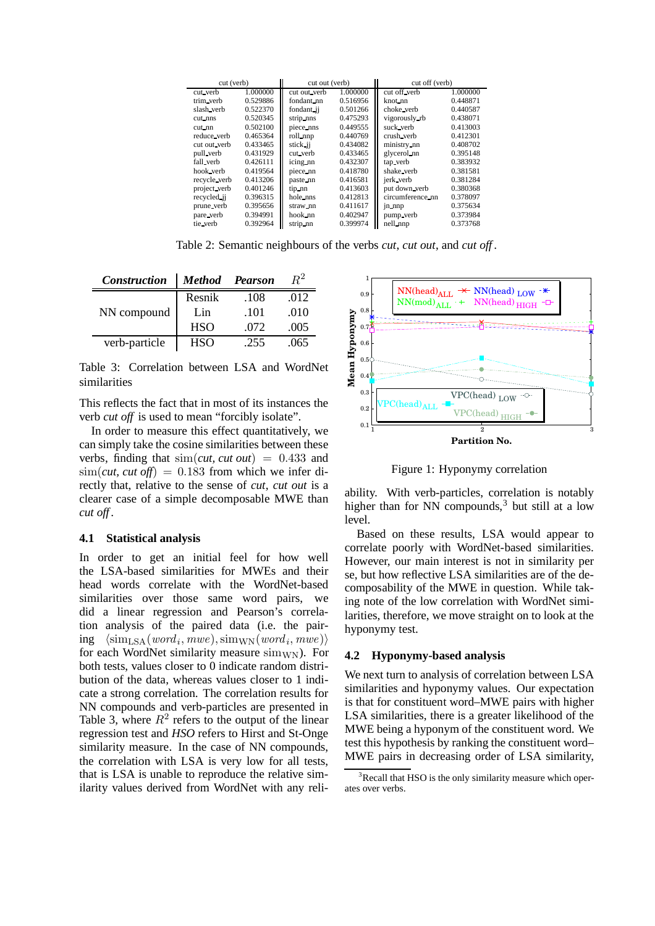| cut (verb)   |          | cut out (verb) |          | cut off (verb)   |          |
|--------------|----------|----------------|----------|------------------|----------|
| cut_verb     | 1.000000 | cut out_verb   | 1.000000 | cut off verb     | 1.000000 |
| trim verb    | 0.529886 | fondant nn     | 0.516956 | knot_nn          | 0.448871 |
| slash verb   | 0.522370 | fondant ii     | 0.501266 | choke verb       | 0.440587 |
| cut nns      | 0.520345 | strip nns      | 0.475293 | vigorously rb    | 0.438071 |
| $cut\_nn$    | 0.502100 | piece nns      | 0.449555 | suck_verb        | 0.413003 |
| reduce_verb  | 0.465364 | roll nnp       | 0.440769 | crush_verb       | 0.412301 |
| cut out verb | 0.433465 | stick ji       | 0.434082 | ministry nn      | 0.408702 |
| pull verb    | 0.431929 | cut_verb       | 0.433465 | glycerol nn      | 0.395148 |
| fall_verb    | 0.426111 | icing nn       | 0.432307 | tap verb         | 0.383932 |
| hook verb    | 0.419564 | piece nn       | 0.418780 | shake_verb       | 0.381581 |
| recycle verb | 0.413206 | paste nn       | 0.416581 | jerk verb        | 0.381284 |
| project verb | 0.401246 | tip nn         | 0.413603 | put down verb    | 0.380368 |
| recycled ii  | 0.396315 | hole nns       | 0.412813 | circumference_nn | 0.378097 |
| prune verb   | 0.395656 | straw_nn       | 0.411617 | in nnp           | 0.375634 |
| pare verb    | 0.394991 | hook nn        | 0.402947 | pump verb        | 0.373984 |
| tie_verb     | 0.392964 | strip nn       | 0.399974 | nell_nnp         | 0.373768 |

Table 2: Semantic neighbours of the verbs *cut*, *cut out*, and *cut off* .

| <b>Construction</b> | Method Pearson |      | R2   |
|---------------------|----------------|------|------|
|                     | Resnik         | .108 | .012 |
| NN compound         | Lin            | .101 | .010 |
|                     | <b>HSO</b>     | .072 | .005 |
| verb-particle       | <b>HSO</b>     | .255 | .065 |

Table 3: Correlation between LSA and WordNet similarities

This reflects the fact that in most of its instances the verb *cut off* is used to mean "forcibly isolate".

In order to measure this effect quantitatively, we can simply take the cosine similarities between these verbs, finding that  $\text{sim}(cut, cut out) = 0.433$  and  $\sin(cut, cut off) = 0.183$  from which we infer directly that, relative to the sense of *cut*, *cut out* is a clearer case of a simple decomposable MWE than *cut off* .

#### **4.1 Statistical analysis**

In order to get an initial feel for how well the LSA-based similarities for MWEs and their head words correlate with the WordNet-based similarities over those same word pairs, we did a linear regression and Pearson's correlation analysis of the paired data (i.e. the pair- $\text{img } \langle \text{sim}_{\text{LSA}}(word_i, mwe), \text{sim}_{\text{WN}}(word_i, mwe) \rangle$ for each WordNet similarity measure  $\text{sim}_{\text{WN}}$ ). For both tests, values closer to 0 indicate random distribution of the data, whereas values closer to 1 indicate a strong correlation. The correlation results for NN compounds and verb-particles are presented in Table 3, where  $R^2$  refers to the output of the linear regression test and *HSO* refers to Hirst and St-Onge similarity measure. In the case of NN compounds, the correlation with LSA is very low for all tests, that is LSA is unable to reproduce the relative similarity values derived from WordNet with any reli-



Figure 1: Hyponymy correlation

ability. With verb-particles, correlation is notably higher than for NN compounds, $3$  but still at a low level.

Based on these results, LSA would appear to correlate poorly with WordNet-based similarities. However, our main interest is not in similarity per se, but how reflective LSA similarities are of the decomposability of the MWE in question. While taking note of the low correlation with WordNet similarities, therefore, we move straight on to look at the hyponymy test.

#### **4.2 Hyponymy-based analysis**

We next turn to analysis of correlation between LSA similarities and hyponymy values. Our expectation is that for constituent word–MWE pairs with higher LSA similarities, there is a greater likelihood of the MWE being a hyponym of the constituent word. We test this hypothesis by ranking the constituent word– MWE pairs in decreasing order of LSA similarity,

 $3R$  Recall that HSO is the only similarity measure which operates over verbs.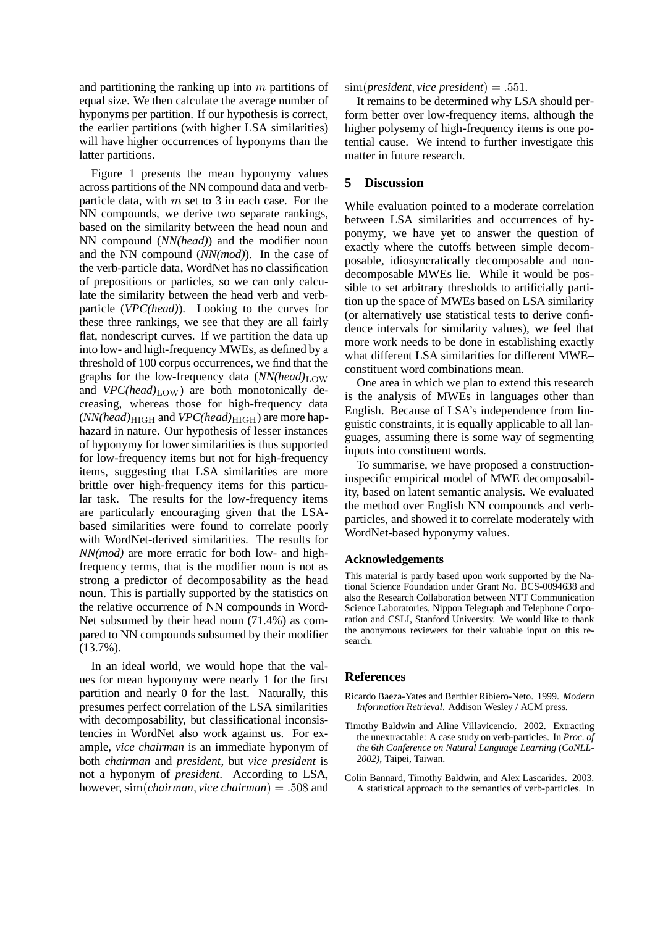and partitioning the ranking up into  $m$  partitions of equal size. We then calculate the average number of hyponyms per partition. If our hypothesis is correct, the earlier partitions (with higher LSA similarities) will have higher occurrences of hyponyms than the latter partitions.

Figure 1 presents the mean hyponymy values across partitions of the NN compound data and verbparticle data, with  $m$  set to 3 in each case. For the NN compounds, we derive two separate rankings, based on the similarity between the head noun and NN compound (*NN(head)*) and the modifier noun and the NN compound (*NN(mod)*). In the case of the verb-particle data, WordNet has no classification of prepositions or particles, so we can only calculate the similarity between the head verb and verbparticle (*VPC(head)*). Looking to the curves for these three rankings, we see that they are all fairly flat, nondescript curves. If we partition the data up into low- and high-frequency MWEs, as defined by a threshold of 100 corpus occurrences, we find that the graphs for the low-frequency data  $(NN(head)<sub>LOW</sub>$ and  $VPC(head)_{\text{LOW}}$  are both monotonically decreasing, whereas those for high-frequency data  $(NN(head)_{\text{HIGH}}$  and  $VPC(head)_{\text{HIGH}}$ ) are more haphazard in nature. Our hypothesis of lesser instances of hyponymy for lower similarities is thus supported for low-frequency items but not for high-frequency items, suggesting that LSA similarities are more brittle over high-frequency items for this particular task. The results for the low-frequency items are particularly encouraging given that the LSAbased similarities were found to correlate poorly with WordNet-derived similarities. The results for *NN(mod)* are more erratic for both low- and highfrequency terms, that is the modifier noun is not as strong a predictor of decomposability as the head noun. This is partially supported by the statistics on the relative occurrence of NN compounds in Word-Net subsumed by their head noun (71.4%) as compared to NN compounds subsumed by their modifier (13.7%).

In an ideal world, we would hope that the values for mean hyponymy were nearly 1 for the first partition and nearly 0 for the last. Naturally, this presumes perfect correlation of the LSA similarities with decomposability, but classificational inconsistencies in WordNet also work against us. For example, *vice chairman* is an immediate hyponym of both *chairman* and *president*, but *vice president* is not a hyponym of *president*. According to LSA, however, sim(*chairman*, *vice chairman*) = .508 and  $\text{sim}(present, vice president) = .551.$ 

It remains to be determined why LSA should perform better over low-frequency items, although the higher polysemy of high-frequency items is one potential cause. We intend to further investigate this matter in future research.

## **5 Discussion**

While evaluation pointed to a moderate correlation between LSA similarities and occurrences of hyponymy, we have yet to answer the question of exactly where the cutoffs between simple decomposable, idiosyncratically decomposable and nondecomposable MWEs lie. While it would be possible to set arbitrary thresholds to artificially partition up the space of MWEs based on LSA similarity (or alternatively use statistical tests to derive confidence intervals for similarity values), we feel that more work needs to be done in establishing exactly what different LSA similarities for different MWE– constituent word combinations mean.

One area in which we plan to extend this research is the analysis of MWEs in languages other than English. Because of LSA's independence from linguistic constraints, it is equally applicable to all languages, assuming there is some way of segmenting inputs into constituent words.

To summarise, we have proposed a constructioninspecific empirical model of MWE decomposability, based on latent semantic analysis. We evaluated the method over English NN compounds and verbparticles, and showed it to correlate moderately with WordNet-based hyponymy values.

## **Acknowledgements**

This material is partly based upon work supported by the National Science Foundation under Grant No. BCS-0094638 and also the Research Collaboration between NTT Communication Science Laboratories, Nippon Telegraph and Telephone Corporation and CSLI, Stanford University. We would like to thank the anonymous reviewers for their valuable input on this research.

## **References**

- Ricardo Baeza-Yates and Berthier Ribiero-Neto. 1999. *Modern Information Retrieval*. Addison Wesley / ACM press.
- Timothy Baldwin and Aline Villavicencio. 2002. Extracting the unextractable: A case study on verb-particles. In *Proc. of the 6th Conference on Natural Language Learning (CoNLL-2002)*, Taipei, Taiwan.
- Colin Bannard, Timothy Baldwin, and Alex Lascarides. 2003. A statistical approach to the semantics of verb-particles. In